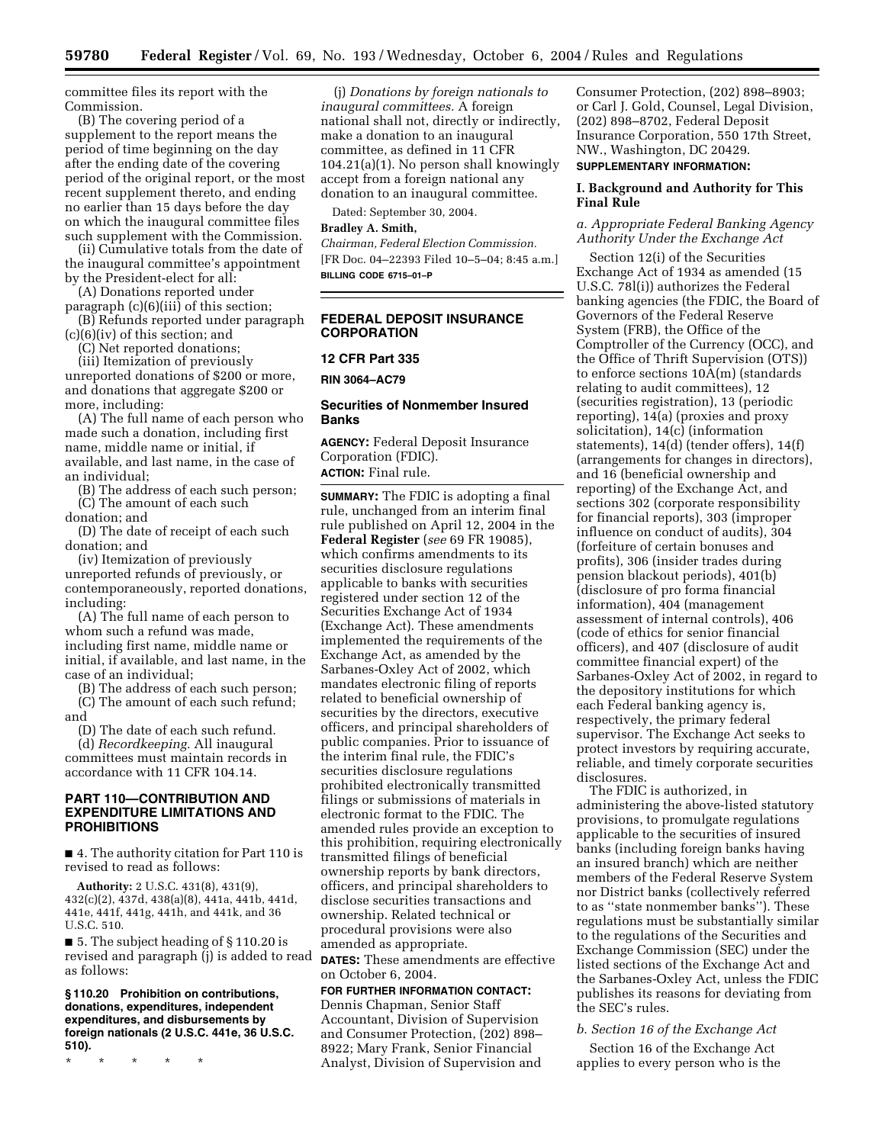committee files its report with the Commission.

(B) The covering period of a supplement to the report means the period of time beginning on the day after the ending date of the covering period of the original report, or the most recent supplement thereto, and ending no earlier than 15 days before the day on which the inaugural committee files such supplement with the Commission.

(ii) Cumulative totals from the date of the inaugural committee's appointment by the President-elect for all:

(A) Donations reported under paragraph (c)(6)(iii) of this section;

(B) Refunds reported under paragraph (c)(6)(iv) of this section; and

(C) Net reported donations;

(iii) Itemization of previously unreported donations of \$200 or more, and donations that aggregate \$200 or more, including:

(A) The full name of each person who made such a donation, including first name, middle name or initial, if available, and last name, in the case of an individual;

(B) The address of each such person; (C) The amount of each such donation; and

(D) The date of receipt of each such donation; and

(iv) Itemization of previously unreported refunds of previously, or contemporaneously, reported donations, including:

(A) The full name of each person to whom such a refund was made, including first name, middle name or initial, if available, and last name, in the case of an individual;

(B) The address of each such person; (C) The amount of each such refund; and

(D) The date of each such refund.

(d) *Recordkeeping.* All inaugural committees must maintain records in accordance with 11 CFR 104.14.

## **PART 110—CONTRIBUTION AND EXPENDITURE LIMITATIONS AND PROHIBITIONS**

■ 4. The authority citation for Part 110 is revised to read as follows:

**Authority:** 2 U.S.C. 431(8), 431(9), 432(c)(2), 437d, 438(a)(8), 441a, 441b, 441d, 441e, 441f, 441g, 441h, and 441k, and 36 U.S.C. 510.

■ 5. The subject heading of § 110.20 is revised and paragraph (j) is added to read as follows:

**§ 110.20 Prohibition on contributions, donations, expenditures, independent expenditures, and disbursements by foreign nationals (2 U.S.C. 441e, 36 U.S.C. 510).**

\* \* \* \* \*

(j) *Donations by foreign nationals to inaugural committees.* A foreign national shall not, directly or indirectly, make a donation to an inaugural committee, as defined in 11 CFR 104.21(a)(1). No person shall knowingly accept from a foreign national any donation to an inaugural committee.

Dated: September 30, 2004.

#### **Bradley A. Smith,**

*Chairman, Federal Election Commission.* [FR Doc. 04–22393 Filed 10–5–04; 8:45 a.m.] **BILLING CODE 6715–01–P**

## **FEDERAL DEPOSIT INSURANCE CORPORATION**

## **12 CFR Part 335**

**RIN 3064–AC79** 

## **Securities of Nonmember Insured Banks**

**AGENCY:** Federal Deposit Insurance Corporation (FDIC). **ACTION:** Final rule.

**SUMMARY:** The FDIC is adopting a final rule, unchanged from an interim final rule published on April 12, 2004 in the **Federal Register** (*see* 69 FR 19085), which confirms amendments to its securities disclosure regulations applicable to banks with securities registered under section 12 of the Securities Exchange Act of 1934 (Exchange Act). These amendments implemented the requirements of the Exchange Act, as amended by the Sarbanes-Oxley Act of 2002, which mandates electronic filing of reports related to beneficial ownership of securities by the directors, executive officers, and principal shareholders of public companies. Prior to issuance of the interim final rule, the FDIC's securities disclosure regulations prohibited electronically transmitted filings or submissions of materials in electronic format to the FDIC. The amended rules provide an exception to this prohibition, requiring electronically transmitted filings of beneficial ownership reports by bank directors, officers, and principal shareholders to disclose securities transactions and ownership. Related technical or procedural provisions were also amended as appropriate.

**DATES:** These amendments are effective on October 6, 2004.

# **FOR FURTHER INFORMATION CONTACT:**

Dennis Chapman, Senior Staff Accountant, Division of Supervision and Consumer Protection, (202) 898– 8922; Mary Frank, Senior Financial Analyst, Division of Supervision and Consumer Protection, (202) 898–8903; or Carl J. Gold, Counsel, Legal Division, (202) 898–8702, Federal Deposit Insurance Corporation, 550 17th Street, NW., Washington, DC 20429.

# **SUPPLEMENTARY INFORMATION:**

## **I. Background and Authority for This Final Rule**

## *a. Appropriate Federal Banking Agency Authority Under the Exchange Act*

Section 12(i) of the Securities Exchange Act of 1934 as amended (15 U.S.C. 78l(i)) authorizes the Federal banking agencies (the FDIC, the Board of Governors of the Federal Reserve System (FRB), the Office of the Comptroller of the Currency (OCC), and the Office of Thrift Supervision (OTS)) to enforce sections 10A(m) (standards relating to audit committees), 12 (securities registration), 13 (periodic reporting), 14(a) (proxies and proxy solicitation), 14(c) (information statements), 14(d) (tender offers), 14(f) (arrangements for changes in directors), and 16 (beneficial ownership and reporting) of the Exchange Act, and sections 302 (corporate responsibility for financial reports), 303 (improper influence on conduct of audits), 304 (forfeiture of certain bonuses and profits), 306 (insider trades during pension blackout periods), 401(b) (disclosure of pro forma financial information), 404 (management assessment of internal controls), 406 (code of ethics for senior financial officers), and 407 (disclosure of audit committee financial expert) of the Sarbanes-Oxley Act of 2002, in regard to the depository institutions for which each Federal banking agency is, respectively, the primary federal supervisor. The Exchange Act seeks to protect investors by requiring accurate, reliable, and timely corporate securities disclosures.

The FDIC is authorized, in administering the above-listed statutory provisions, to promulgate regulations applicable to the securities of insured banks (including foreign banks having an insured branch) which are neither members of the Federal Reserve System nor District banks (collectively referred to as ''state nonmember banks''). These regulations must be substantially similar to the regulations of the Securities and Exchange Commission (SEC) under the listed sections of the Exchange Act and the Sarbanes-Oxley Act, unless the FDIC publishes its reasons for deviating from the SEC's rules.

#### *b. Section 16 of the Exchange Act*

Section 16 of the Exchange Act applies to every person who is the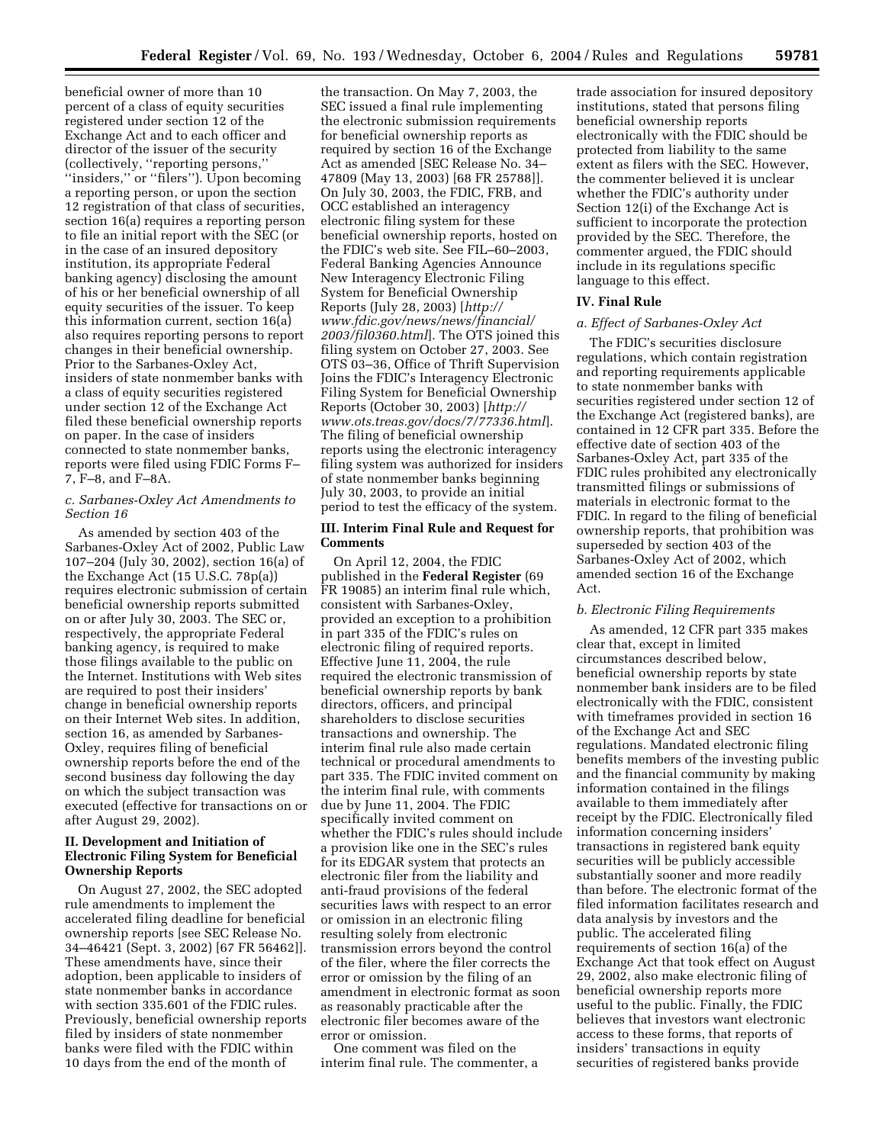beneficial owner of more than 10 percent of a class of equity securities registered under section 12 of the Exchange Act and to each officer and director of the issuer of the security (collectively, ''reporting persons,'' ''insiders,'' or ''filers''). Upon becoming a reporting person, or upon the section 12 registration of that class of securities, section 16(a) requires a reporting person to file an initial report with the SEC (or in the case of an insured depository institution, its appropriate Federal banking agency) disclosing the amount of his or her beneficial ownership of all equity securities of the issuer. To keep this information current, section 16(a) also requires reporting persons to report changes in their beneficial ownership. Prior to the Sarbanes-Oxley Act, insiders of state nonmember banks with a class of equity securities registered under section 12 of the Exchange Act filed these beneficial ownership reports on paper. In the case of insiders connected to state nonmember banks, reports were filed using FDIC Forms F– 7, F–8, and F–8A.

## *c. Sarbanes-Oxley Act Amendments to Section 16*

As amended by section 403 of the Sarbanes-Oxley Act of 2002, Public Law 107–204 (July 30, 2002), section 16(a) of the Exchange Act (15 U.S.C. 78p(a)) requires electronic submission of certain beneficial ownership reports submitted on or after July 30, 2003. The SEC or, respectively, the appropriate Federal banking agency, is required to make those filings available to the public on the Internet. Institutions with Web sites are required to post their insiders' change in beneficial ownership reports on their Internet Web sites. In addition, section 16, as amended by Sarbanes-Oxley, requires filing of beneficial ownership reports before the end of the second business day following the day on which the subject transaction was executed (effective for transactions on or after August 29, 2002).

## **II. Development and Initiation of Electronic Filing System for Beneficial Ownership Reports**

On August 27, 2002, the SEC adopted rule amendments to implement the accelerated filing deadline for beneficial ownership reports [see SEC Release No. 34–46421 (Sept. 3, 2002) [67 FR 56462]]. These amendments have, since their adoption, been applicable to insiders of state nonmember banks in accordance with section 335.601 of the FDIC rules. Previously, beneficial ownership reports filed by insiders of state nonmember banks were filed with the FDIC within 10 days from the end of the month of

the transaction. On May 7, 2003, the SEC issued a final rule implementing the electronic submission requirements for beneficial ownership reports as required by section 16 of the Exchange Act as amended [SEC Release No. 34– 47809 (May 13, 2003) [68 FR 25788]]. On July 30, 2003, the FDIC, FRB, and OCC established an interagency electronic filing system for these beneficial ownership reports, hosted on the FDIC's web site. See FIL–60–2003, Federal Banking Agencies Announce New Interagency Electronic Filing System for Beneficial Ownership Reports (July 28, 2003) [*http:// [www.fdic.gov/news/news/financial/](http://www.fdic.gov/news/news/financial/2003/fil0360.html) 2003/fil0360.html*]. The OTS joined this filing system on October 27, 2003. See OTS 03–36, Office of Thrift Supervision Joins the FDIC's Interagency Electronic Filing System for Beneficial Ownership Reports (October 30, 2003) [*http:// [www.ots.treas.gov/docs/7/77336.htm](http://www.ots.treas.gov/docs/7/77336.html)l*]. The filing of beneficial ownership reports using the electronic interagency filing system was authorized for insiders of state nonmember banks beginning July 30, 2003, to provide an initial period to test the efficacy of the system.

#### **III. Interim Final Rule and Request for Comments**

On April 12, 2004, the FDIC published in the **Federal Register** (69 FR 19085) an interim final rule which, consistent with Sarbanes-Oxley, provided an exception to a prohibition in part 335 of the FDIC's rules on electronic filing of required reports. Effective June 11, 2004, the rule required the electronic transmission of beneficial ownership reports by bank directors, officers, and principal shareholders to disclose securities transactions and ownership. The interim final rule also made certain technical or procedural amendments to part 335. The FDIC invited comment on the interim final rule, with comments due by June 11, 2004. The FDIC specifically invited comment on whether the FDIC's rules should include a provision like one in the SEC's rules for its EDGAR system that protects an electronic filer from the liability and anti-fraud provisions of the federal securities laws with respect to an error or omission in an electronic filing resulting solely from electronic transmission errors beyond the control of the filer, where the filer corrects the error or omission by the filing of an amendment in electronic format as soon as reasonably practicable after the electronic filer becomes aware of the error or omission.

One comment was filed on the interim final rule. The commenter, a

trade association for insured depository institutions, stated that persons filing beneficial ownership reports electronically with the FDIC should be protected from liability to the same extent as filers with the SEC. However, the commenter believed it is unclear whether the FDIC's authority under Section 12(i) of the Exchange Act is sufficient to incorporate the protection provided by the SEC. Therefore, the commenter argued, the FDIC should include in its regulations specific language to this effect.

## **IV. Final Rule**

### *a. Effect of Sarbanes-Oxley Act*

The FDIC's securities disclosure regulations, which contain registration and reporting requirements applicable to state nonmember banks with securities registered under section 12 of the Exchange Act (registered banks), are contained in 12 CFR part 335. Before the effective date of section 403 of the Sarbanes-Oxley Act, part 335 of the FDIC rules prohibited any electronically transmitted filings or submissions of materials in electronic format to the FDIC. In regard to the filing of beneficial ownership reports, that prohibition was superseded by section 403 of the Sarbanes-Oxley Act of 2002, which amended section 16 of the Exchange Act.

#### *b. Electronic Filing Requirements*

As amended, 12 CFR part 335 makes clear that, except in limited circumstances described below, beneficial ownership reports by state nonmember bank insiders are to be filed electronically with the FDIC, consistent with timeframes provided in section 16 of the Exchange Act and SEC regulations. Mandated electronic filing benefits members of the investing public and the financial community by making information contained in the filings available to them immediately after receipt by the FDIC. Electronically filed information concerning insiders' transactions in registered bank equity securities will be publicly accessible substantially sooner and more readily than before. The electronic format of the filed information facilitates research and data analysis by investors and the public. The accelerated filing requirements of section 16(a) of the Exchange Act that took effect on August 29, 2002, also make electronic filing of beneficial ownership reports more useful to the public. Finally, the FDIC believes that investors want electronic access to these forms, that reports of insiders' transactions in equity securities of registered banks provide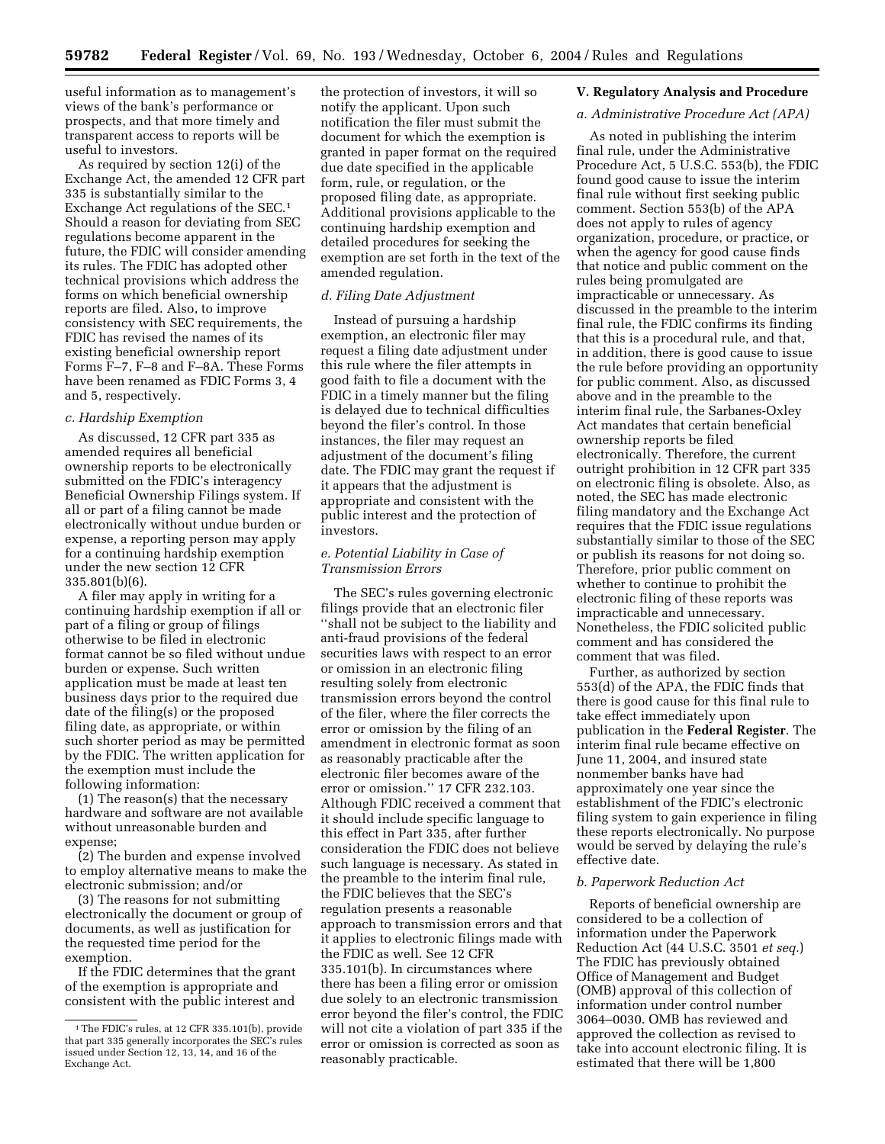useful information as to management's views of the bank's performance or prospects, and that more timely and transparent access to reports will be useful to investors.

As required by section 12(i) of the Exchange Act, the amended 12 CFR part 335 is substantially similar to the Exchange Act regulations of the SEC.1 Should a reason for deviating from SEC regulations become apparent in the future, the FDIC will consider amending its rules. The FDIC has adopted other technical provisions which address the forms on which beneficial ownership reports are filed. Also, to improve consistency with SEC requirements, the FDIC has revised the names of its existing beneficial ownership report Forms F–7, F–8 and F–8A. These Forms have been renamed as FDIC Forms 3, 4 and 5, respectively.

#### *c. Hardship Exemption*

As discussed, 12 CFR part 335 as amended requires all beneficial ownership reports to be electronically submitted on the FDIC's interagency Beneficial Ownership Filings system. If all or part of a filing cannot be made electronically without undue burden or expense, a reporting person may apply for a continuing hardship exemption under the new section 12 CFR 335.801(b)(6).

A filer may apply in writing for a continuing hardship exemption if all or part of a filing or group of filings otherwise to be filed in electronic format cannot be so filed without undue burden or expense. Such written application must be made at least ten business days prior to the required due date of the filing(s) or the proposed filing date, as appropriate, or within such shorter period as may be permitted by the FDIC. The written application for the exemption must include the following information:

(1) The reason(s) that the necessary hardware and software are not available without unreasonable burden and expense;

(2) The burden and expense involved to employ alternative means to make the electronic submission; and/or

(3) The reasons for not submitting electronically the document or group of documents, as well as justification for the requested time period for the exemption.

If the FDIC determines that the grant of the exemption is appropriate and consistent with the public interest and the protection of investors, it will so notify the applicant. Upon such notification the filer must submit the document for which the exemption is granted in paper format on the required due date specified in the applicable form, rule, or regulation, or the proposed filing date, as appropriate. Additional provisions applicable to the continuing hardship exemption and detailed procedures for seeking the exemption are set forth in the text of the amended regulation.

### *d. Filing Date Adjustment*

Instead of pursuing a hardship exemption, an electronic filer may request a filing date adjustment under this rule where the filer attempts in good faith to file a document with the FDIC in a timely manner but the filing is delayed due to technical difficulties beyond the filer's control. In those instances, the filer may request an adjustment of the document's filing date. The FDIC may grant the request if it appears that the adjustment is appropriate and consistent with the public interest and the protection of investors.

## *e. Potential Liability in Case of Transmission Errors*

The SEC's rules governing electronic filings provide that an electronic filer ''shall not be subject to the liability and anti-fraud provisions of the federal securities laws with respect to an error or omission in an electronic filing resulting solely from electronic transmission errors beyond the control of the filer, where the filer corrects the error or omission by the filing of an amendment in electronic format as soon as reasonably practicable after the electronic filer becomes aware of the error or omission.'' 17 CFR 232.103. Although FDIC received a comment that it should include specific language to this effect in Part 335, after further consideration the FDIC does not believe such language is necessary. As stated in the preamble to the interim final rule, the FDIC believes that the SEC's regulation presents a reasonable approach to transmission errors and that it applies to electronic filings made with the FDIC as well. See 12 CFR 335.101(b). In circumstances where there has been a filing error or omission due solely to an electronic transmission error beyond the filer's control, the FDIC will not cite a violation of part 335 if the error or omission is corrected as soon as reasonably practicable.

#### **V. Regulatory Analysis and Procedure**

#### *a. Administrative Procedure Act (APA)*

As noted in publishing the interim final rule, under the Administrative Procedure Act, 5 U.S.C. 553(b), the FDIC found good cause to issue the interim final rule without first seeking public comment. Section 553(b) of the APA does not apply to rules of agency organization, procedure, or practice, or when the agency for good cause finds that notice and public comment on the rules being promulgated are impracticable or unnecessary. As discussed in the preamble to the interim final rule, the FDIC confirms its finding that this is a procedural rule, and that, in addition, there is good cause to issue the rule before providing an opportunity for public comment. Also, as discussed above and in the preamble to the interim final rule, the Sarbanes-Oxley Act mandates that certain beneficial ownership reports be filed electronically. Therefore, the current outright prohibition in 12 CFR part 335 on electronic filing is obsolete. Also, as noted, the SEC has made electronic filing mandatory and the Exchange Act requires that the FDIC issue regulations substantially similar to those of the SEC or publish its reasons for not doing so. Therefore, prior public comment on whether to continue to prohibit the electronic filing of these reports was impracticable and unnecessary. Nonetheless, the FDIC solicited public comment and has considered the comment that was filed.

Further, as authorized by section 553(d) of the APA, the FDIC finds that there is good cause for this final rule to take effect immediately upon publication in the **Federal Register**. The interim final rule became effective on June 11, 2004, and insured state nonmember banks have had approximately one year since the establishment of the FDIC's electronic filing system to gain experience in filing these reports electronically. No purpose would be served by delaying the rule's effective date.

## *b. Paperwork Reduction Act*

Reports of beneficial ownership are considered to be a collection of information under the Paperwork Reduction Act (44 U.S.C. 3501 *et seq.*) The FDIC has previously obtained Office of Management and Budget (OMB) approval of this collection of information under control number 3064–0030. OMB has reviewed and approved the collection as revised to take into account electronic filing. It is estimated that there will be 1,800

<sup>1</sup>The FDIC's rules, at 12 CFR 335.101(b), provide that part 335 generally incorporates the SEC's rules issued under Section 12, 13, 14, and 16 of the Exchange Act.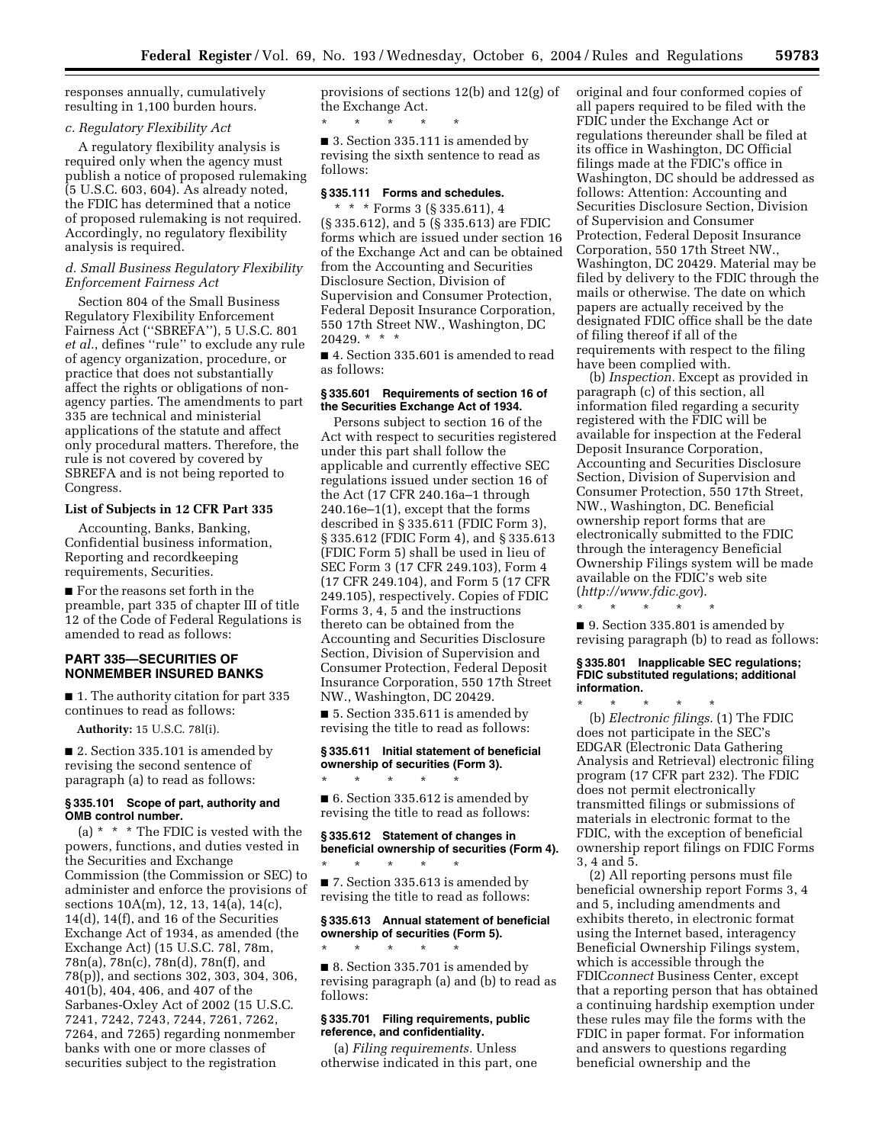responses annually, cumulatively resulting in 1,100 burden hours.

## *c. Regulatory Flexibility Act*

A regulatory flexibility analysis is required only when the agency must publish a notice of proposed rulemaking (5 U.S.C. 603, 604). As already noted, the FDIC has determined that a notice of proposed rulemaking is not required. Accordingly, no regulatory flexibility analysis is required.

## *d. Small Business Regulatory Flexibility Enforcement Fairness Act*

Section 804 of the Small Business Regulatory Flexibility Enforcement Fairness Act (''SBREFA''), 5 U.S.C. 801 *et al.*, defines ''rule'' to exclude any rule of agency organization, procedure, or practice that does not substantially affect the rights or obligations of nonagency parties. The amendments to part 335 are technical and ministerial applications of the statute and affect only procedural matters. Therefore, the rule is not covered by covered by SBREFA and is not being reported to Congress.

### **List of Subjects in 12 CFR Part 335**

Accounting, Banks, Banking, Confidential business information, Reporting and recordkeeping requirements, Securities.

■ For the reasons set forth in the preamble, part 335 of chapter III of title 12 of the Code of Federal Regulations is amended to read as follows:

## **PART 335—SECURITIES OF NONMEMBER INSURED BANKS**

■ 1. The authority citation for part 335 continues to read as follows:

**Authority:** 15 U.S.C. 78l(i).

■ 2. Section 335.101 is amended by revising the second sentence of paragraph (a) to read as follows:

## **§ 335.101 Scope of part, authority and OMB control number.**

(a)  $*$   $*$   $*$  The FDIC is vested with the powers, functions, and duties vested in the Securities and Exchange Commission (the Commission or SEC) to administer and enforce the provisions of sections 10A(m), 12, 13, 14(a), 14(c), 14(d), 14(f), and 16 of the Securities Exchange Act of 1934, as amended (the Exchange Act) (15 U.S.C. 78l, 78m, 78n(a), 78n(c), 78n(d), 78n(f), and 78(p)), and sections 302, 303, 304, 306, 401(b), 404, 406, and 407 of the Sarbanes-Oxley Act of 2002 (15 U.S.C. 7241, 7242, 7243, 7244, 7261, 7262, 7264, and 7265) regarding nonmember banks with one or more classes of securities subject to the registration

provisions of sections 12(b) and 12(g) of the Exchange Act.

\* \* \* \* \* ■ 3. Section 335.111 is amended by

revising the sixth sentence to read as follows:

#### **§ 335.111 Forms and schedules.**

\* \* \* Forms 3 (§ 335.611), 4 (§ 335.612), and 5 (§ 335.613) are FDIC forms which are issued under section 16 of the Exchange Act and can be obtained from the Accounting and Securities Disclosure Section, Division of Supervision and Consumer Protection, Federal Deposit Insurance Corporation, 550 17th Street NW., Washington, DC 20429. \* \* \*

■ 4. Section 335.601 is amended to read as follows:

#### **§ 335.601 Requirements of section 16 of the Securities Exchange Act of 1934.**

Persons subject to section 16 of the Act with respect to securities registered under this part shall follow the applicable and currently effective SEC regulations issued under section 16 of the Act (17 CFR 240.16a–1 through 240.16e–1(1), except that the forms described in § 335.611 (FDIC Form 3), § 335.612 (FDIC Form 4), and § 335.613 (FDIC Form 5) shall be used in lieu of SEC Form 3 (17 CFR 249.103), Form 4 (17 CFR 249.104), and Form 5 (17 CFR 249.105), respectively. Copies of FDIC Forms 3, 4, 5 and the instructions thereto can be obtained from the Accounting and Securities Disclosure Section, Division of Supervision and Consumer Protection, Federal Deposit Insurance Corporation, 550 17th Street NW., Washington, DC 20429.

■ 5. Section 335.611 is amended by revising the title to read as follows:

#### **§ 335.611 Initial statement of beneficial ownership of securities (Form 3).**

■ 6. Section 335.612 is amended by revising the title to read as follows:

\* \* \* \* \*

\* \* \* \* \*

\* \* \* \* \*

**§ 335.612 Statement of changes in beneficial ownership of securities (Form 4).**

■ 7. Section 335.613 is amended by revising the title to read as follows:

**§ 335.613 Annual statement of beneficial ownership of securities (Form 5).**

■ 8. Section 335.701 is amended by revising paragraph (a) and (b) to read as follows:

### **§ 335.701 Filing requirements, public reference, and confidentiality.**

(a) *Filing requirements.* Unless otherwise indicated in this part, one original and four conformed copies of all papers required to be filed with the FDIC under the Exchange Act or regulations thereunder shall be filed at its office in Washington, DC Official filings made at the FDIC's office in Washington, DC should be addressed as follows: Attention: Accounting and Securities Disclosure Section, Division of Supervision and Consumer Protection, Federal Deposit Insurance Corporation, 550 17th Street NW., Washington, DC 20429. Material may be filed by delivery to the FDIC through the mails or otherwise. The date on which papers are actually received by the designated FDIC office shall be the date of filing thereof if all of the requirements with respect to the filing have been complied with.

(b) *Inspection.* Except as provided in paragraph (c) of this section, all information filed regarding a security registered with the FDIC will be available for inspection at the Federal Deposit Insurance Corporation, Accounting and Securities Disclosure Section, Division of Supervision and Consumer Protection, 550 17th Street, NW., Washington, DC. Beneficial ownership report forms that are electronically submitted to the FDIC through the interagency Beneficial Ownership Filings system will be made available on the FDIC's web site (*<http://www.fdic.gov>*).

\* \* \* \* \*

■ 9. Section 335.801 is amended by revising paragraph (b) to read as follows:

#### **§ 335.801 Inapplicable SEC regulations; FDIC substituted regulations; additional information.**

\* \* \* \* \* (b) *Electronic filings.* (1) The FDIC does not participate in the SEC's EDGAR (Electronic Data Gathering Analysis and Retrieval) electronic filing program (17 CFR part 232). The FDIC does not permit electronically transmitted filings or submissions of materials in electronic format to the FDIC, with the exception of beneficial ownership report filings on FDIC Forms 3, 4 and 5.

(2) All reporting persons must file beneficial ownership report Forms 3, 4 and 5, including amendments and exhibits thereto, in electronic format using the Internet based, interagency Beneficial Ownership Filings system, which is accessible through the FDIC*connect* Business Center, except that a reporting person that has obtained a continuing hardship exemption under these rules may file the forms with the FDIC in paper format. For information and answers to questions regarding beneficial ownership and the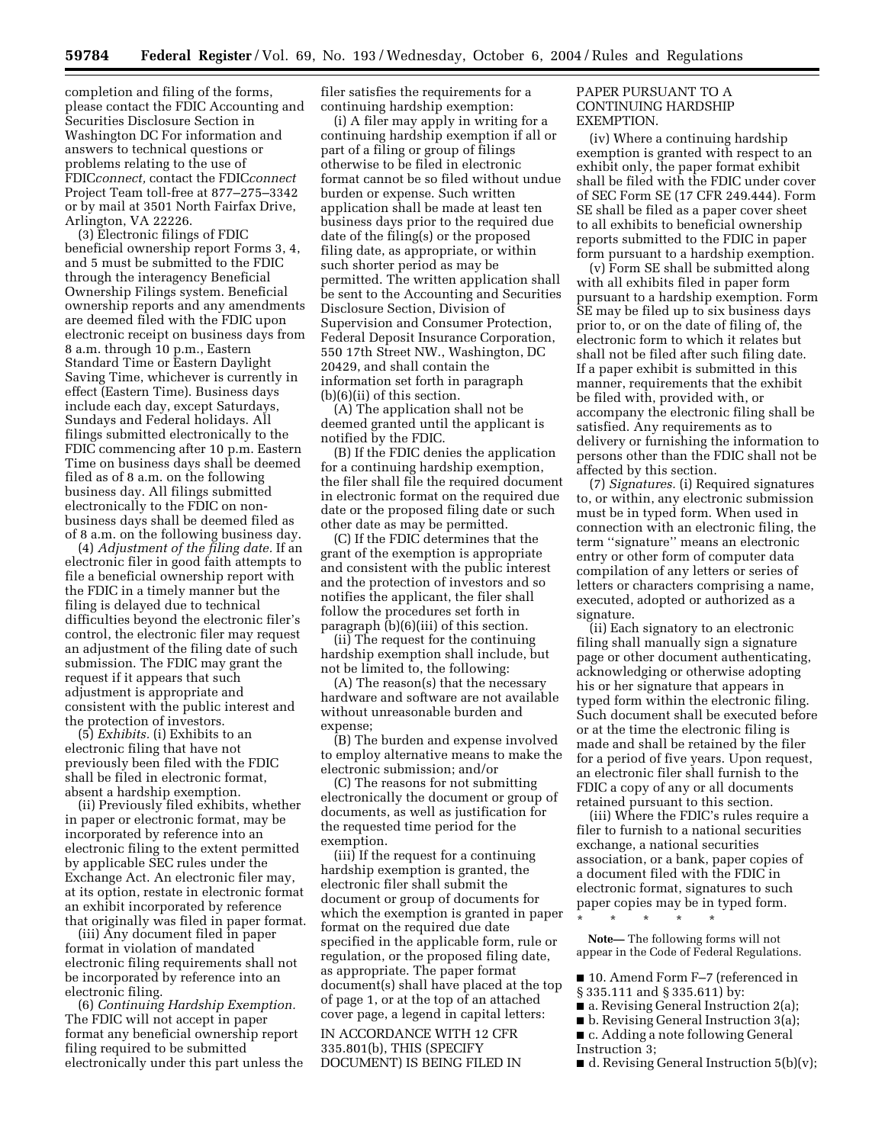completion and filing of the forms, please contact the FDIC Accounting and Securities Disclosure Section in Washington DC For information and answers to technical questions or problems relating to the use of FDIC*connect,* contact the FDIC*connect* Project Team toll-free at 877–275–3342 or by mail at 3501 North Fairfax Drive, Arlington, VA 22226.

(3) Electronic filings of FDIC beneficial ownership report Forms 3, 4, and 5 must be submitted to the FDIC through the interagency Beneficial Ownership Filings system. Beneficial ownership reports and any amendments are deemed filed with the FDIC upon electronic receipt on business days from 8 a.m. through 10 p.m., Eastern Standard Time or Eastern Daylight Saving Time, whichever is currently in effect (Eastern Time). Business days include each day, except Saturdays, Sundays and Federal holidays. All filings submitted electronically to the FDIC commencing after 10 p.m. Eastern Time on business days shall be deemed filed as of 8 a.m. on the following business day. All filings submitted electronically to the FDIC on nonbusiness days shall be deemed filed as of 8 a.m. on the following business day.

(4) *Adjustment of the filing date.* If an electronic filer in good faith attempts to file a beneficial ownership report with the FDIC in a timely manner but the filing is delayed due to technical difficulties beyond the electronic filer's control, the electronic filer may request an adjustment of the filing date of such submission. The FDIC may grant the request if it appears that such adjustment is appropriate and consistent with the public interest and the protection of investors.

(5) *Exhibits.* (i) Exhibits to an electronic filing that have not previously been filed with the FDIC shall be filed in electronic format, absent a hardship exemption.

(ii) Previously filed exhibits, whether in paper or electronic format, may be incorporated by reference into an electronic filing to the extent permitted by applicable SEC rules under the Exchange Act. An electronic filer may, at its option, restate in electronic format an exhibit incorporated by reference that originally was filed in paper format.

(iii) Any document filed in paper format in violation of mandated electronic filing requirements shall not be incorporated by reference into an electronic filing.

(6) *Continuing Hardship Exemption.* The FDIC will not accept in paper format any beneficial ownership report filing required to be submitted electronically under this part unless the filer satisfies the requirements for a continuing hardship exemption:

(i) A filer may apply in writing for a continuing hardship exemption if all or part of a filing or group of filings otherwise to be filed in electronic format cannot be so filed without undue burden or expense. Such written application shall be made at least ten business days prior to the required due date of the filing(s) or the proposed filing date, as appropriate, or within such shorter period as may be permitted. The written application shall be sent to the Accounting and Securities Disclosure Section, Division of Supervision and Consumer Protection, Federal Deposit Insurance Corporation, 550 17th Street NW., Washington, DC 20429, and shall contain the information set forth in paragraph (b)(6)(ii) of this section.

(A) The application shall not be deemed granted until the applicant is notified by the FDIC.

(B) If the FDIC denies the application for a continuing hardship exemption, the filer shall file the required document in electronic format on the required due date or the proposed filing date or such other date as may be permitted.

(C) If the FDIC determines that the grant of the exemption is appropriate and consistent with the public interest and the protection of investors and so notifies the applicant, the filer shall follow the procedures set forth in paragraph (b)(6)(iii) of this section.

(ii) The request for the continuing hardship exemption shall include, but not be limited to, the following:

(A) The reason(s) that the necessary hardware and software are not available without unreasonable burden and expense;

(B) The burden and expense involved to employ alternative means to make the electronic submission; and/or

(C) The reasons for not submitting electronically the document or group of documents, as well as justification for the requested time period for the exemption.

(iii) If the request for a continuing hardship exemption is granted, the electronic filer shall submit the document or group of documents for which the exemption is granted in paper format on the required due date specified in the applicable form, rule or regulation, or the proposed filing date, as appropriate. The paper format document(s) shall have placed at the top of page 1, or at the top of an attached cover page, a legend in capital letters:

IN ACCORDANCE WITH 12 CFR 335.801(b), THIS (SPECIFY DOCUMENT) IS BEING FILED IN

## PAPER PURSUANT TO A CONTINUING HARDSHIP EXEMPTION.

(iv) Where a continuing hardship exemption is granted with respect to an exhibit only, the paper format exhibit shall be filed with the FDIC under cover of SEC Form SE (17 CFR 249.444). Form SE shall be filed as a paper cover sheet to all exhibits to beneficial ownership reports submitted to the FDIC in paper form pursuant to a hardship exemption.

(v) Form SE shall be submitted along with all exhibits filed in paper form pursuant to a hardship exemption. Form SE may be filed up to six business days prior to, or on the date of filing of, the electronic form to which it relates but shall not be filed after such filing date. If a paper exhibit is submitted in this manner, requirements that the exhibit be filed with, provided with, or accompany the electronic filing shall be satisfied. Any requirements as to delivery or furnishing the information to persons other than the FDIC shall not be affected by this section.

(7) *Signatures.* (i) Required signatures to, or within, any electronic submission must be in typed form. When used in connection with an electronic filing, the term ''signature'' means an electronic entry or other form of computer data compilation of any letters or series of letters or characters comprising a name, executed, adopted or authorized as a signature.

(ii) Each signatory to an electronic filing shall manually sign a signature page or other document authenticating, acknowledging or otherwise adopting his or her signature that appears in typed form within the electronic filing. Such document shall be executed before or at the time the electronic filing is made and shall be retained by the filer for a period of five years. Upon request, an electronic filer shall furnish to the FDIC a copy of any or all documents retained pursuant to this section.

(iii) Where the FDIC's rules require a filer to furnish to a national securities exchange, a national securities association, or a bank, paper copies of a document filed with the FDIC in electronic format, signatures to such paper copies may be in typed form. \* \* \* \* \*

**Note—** The following forms will not appear in the Code of Federal Regulations.

■ 10. Amend Form F-7 (referenced in

- § 335.111 and § 335.611) by:
- a. Revising General Instruction 2(a);
- b. Revising General Instruction 3(a); ■ c. Adding a note following General
- Instruction 3;

 $\blacksquare$  d. Revising General Instruction 5(b)(v);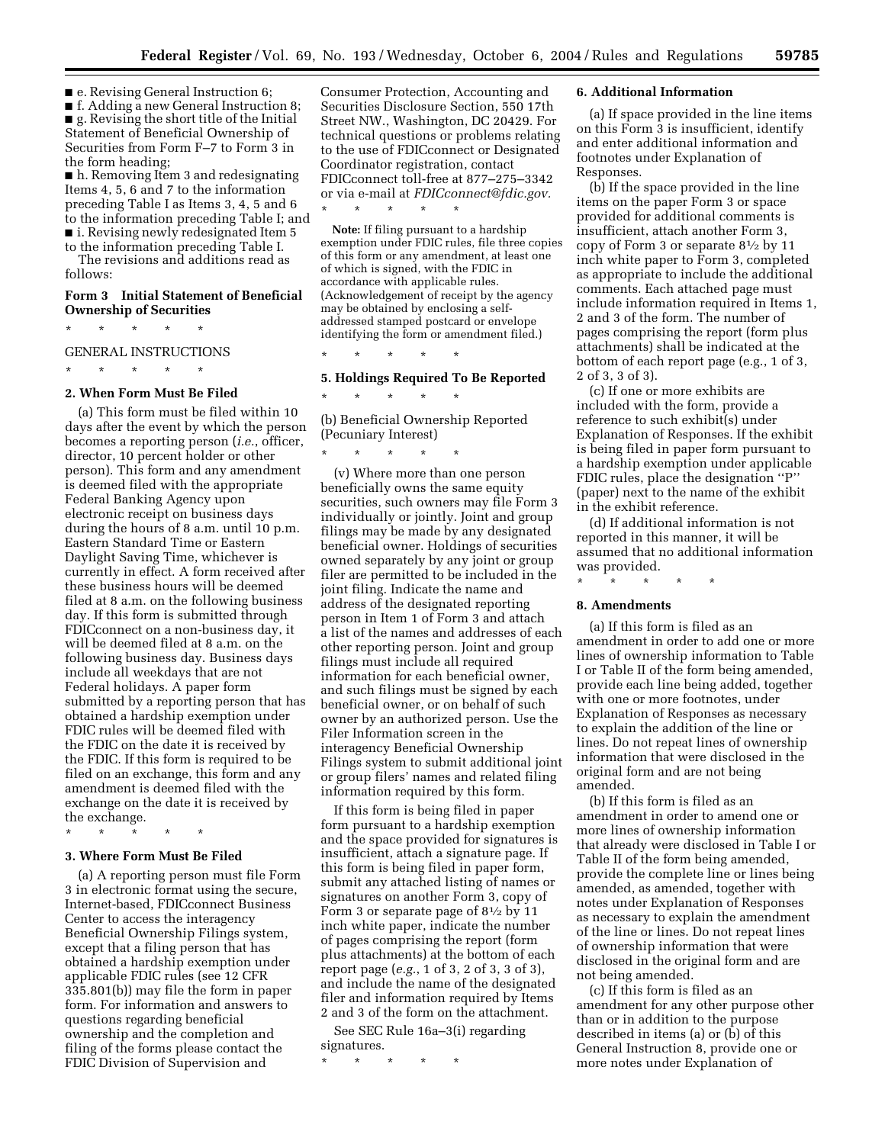■ e. Revising General Instruction 6;

■ f. Adding a new General Instruction 8; ■ g. Revising the short title of the Initial Statement of Beneficial Ownership of Securities from Form F–7 to Form 3 in the form heading;

■ h. Removing Item 3 and redesignating Items 4, 5, 6 and 7 to the information preceding Table I as Items 3, 4, 5 and 6 to the information preceding Table I; and ■ i. Revising newly redesignated Item 5 to the information preceding Table I.

The revisions and additions read as follows:

## **Form 3 Initial Statement of Beneficial Ownership of Securities**

\* \* \* \* \*

## GENERAL INSTRUCTIONS

\* \* \* \* \*

## **2. When Form Must Be Filed**

(a) This form must be filed within 10 days after the event by which the person becomes a reporting person (*i.e.*, officer, director, 10 percent holder or other person). This form and any amendment is deemed filed with the appropriate Federal Banking Agency upon electronic receipt on business days during the hours of 8 a.m. until 10 p.m. Eastern Standard Time or Eastern Daylight Saving Time, whichever is currently in effect. A form received after these business hours will be deemed filed at 8 a.m. on the following business day. If this form is submitted through FDICconnect on a non-business day, it will be deemed filed at 8 a.m. on the following business day. Business days include all weekdays that are not Federal holidays. A paper form submitted by a reporting person that has obtained a hardship exemption under FDIC rules will be deemed filed with the FDIC on the date it is received by the FDIC. If this form is required to be filed on an exchange, this form and any amendment is deemed filed with the exchange on the date it is received by the exchange.

\* \* \* \* \*

## **3. Where Form Must Be Filed**

(a) A reporting person must file Form 3 in electronic format using the secure, Internet-based, FDICconnect Business Center to access the interagency Beneficial Ownership Filings system, except that a filing person that has obtained a hardship exemption under applicable FDIC rules (see 12 CFR 335.801(b)) may file the form in paper form. For information and answers to questions regarding beneficial ownership and the completion and filing of the forms please contact the FDIC Division of Supervision and

Consumer Protection, Accounting and Securities Disclosure Section, 550 17th Street NW., Washington, DC 20429. For technical questions or problems relating to the use of FDICconnect or Designated Coordinator registration, contact FDICconnect toll-free at 877–275–3342 or via e-mail at *[FDICconnect@fdic.gov.](mailto:FDICconnect@fdic.gov)*

**Note:** If filing pursuant to a hardship exemption under FDIC rules, file three copies of this form or any amendment, at least one of which is signed, with the FDIC in accordance with applicable rules. (Acknowledgement of receipt by the agency may be obtained by enclosing a selfaddressed stamped postcard or envelope identifying the form or amendment filed.)

## **5. Holdings Required To Be Reported**

\* \* \* \* \* (b) Beneficial Ownership Reported (Pecuniary Interest)

\* \* \* \* \*

\* \* \* \* \*

\* \* \* \* \*

(v) Where more than one person beneficially owns the same equity securities, such owners may file Form 3 individually or jointly. Joint and group filings may be made by any designated beneficial owner. Holdings of securities owned separately by any joint or group filer are permitted to be included in the joint filing. Indicate the name and address of the designated reporting person in Item 1 of Form 3 and attach a list of the names and addresses of each other reporting person. Joint and group filings must include all required information for each beneficial owner, and such filings must be signed by each beneficial owner, or on behalf of such owner by an authorized person. Use the Filer Information screen in the interagency Beneficial Ownership Filings system to submit additional joint or group filers' names and related filing information required by this form.

If this form is being filed in paper form pursuant to a hardship exemption and the space provided for signatures is insufficient, attach a signature page. If this form is being filed in paper form, submit any attached listing of names or signatures on another Form 3, copy of Form 3 or separate page of  $8\frac{1}{2}$  by 11 inch white paper, indicate the number of pages comprising the report (form plus attachments) at the bottom of each report page (*e.g.*, 1 of 3, 2 of 3, 3 of 3), and include the name of the designated filer and information required by Items 2 and 3 of the form on the attachment.

See SEC Rule 16a–3(i) regarding signatures.

\* \* \* \* \*

## **6. Additional Information**

(a) If space provided in the line items on this Form 3 is insufficient, identify and enter additional information and footnotes under Explanation of Responses.

(b) If the space provided in the line items on the paper Form 3 or space provided for additional comments is insufficient, attach another Form 3, copy of Form 3 or separate 81⁄2 by 11 inch white paper to Form 3, completed as appropriate to include the additional comments. Each attached page must include information required in Items 1, 2 and 3 of the form. The number of pages comprising the report (form plus attachments) shall be indicated at the bottom of each report page (e.g., 1 of 3, 2 of 3, 3 of 3).

(c) If one or more exhibits are included with the form, provide a reference to such exhibit(s) under Explanation of Responses. If the exhibit is being filed in paper form pursuant to a hardship exemption under applicable FDIC rules, place the designation ''P'' (paper) next to the name of the exhibit in the exhibit reference.

(d) If additional information is not reported in this manner, it will be assumed that no additional information was provided.

## \* \* \* \* \*

#### **8. Amendments**

(a) If this form is filed as an amendment in order to add one or more lines of ownership information to Table I or Table II of the form being amended, provide each line being added, together with one or more footnotes, under Explanation of Responses as necessary to explain the addition of the line or lines. Do not repeat lines of ownership information that were disclosed in the original form and are not being amended.

(b) If this form is filed as an amendment in order to amend one or more lines of ownership information that already were disclosed in Table I or Table II of the form being amended, provide the complete line or lines being amended, as amended, together with notes under Explanation of Responses as necessary to explain the amendment of the line or lines. Do not repeat lines of ownership information that were disclosed in the original form and are not being amended.

(c) If this form is filed as an amendment for any other purpose other than or in addition to the purpose described in items (a) or (b) of this General Instruction 8, provide one or more notes under Explanation of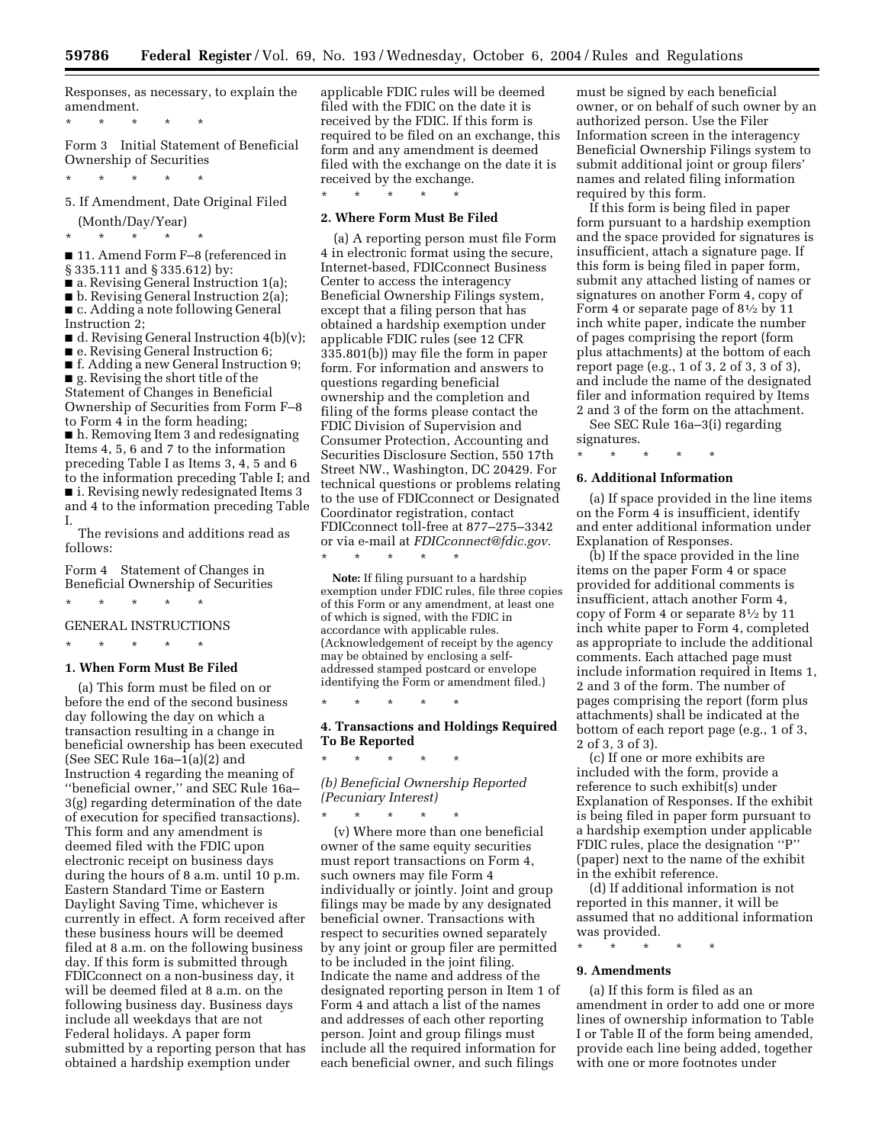Responses, as necessary, to explain the amendment.

\* \* \* \* \*

Form 3 Initial Statement of Beneficial Ownership of Securities

\* \* \* \* \*

5. If Amendment, Date Original Filed (Month/Day/Year)

\* \* \* \* \*

■ 11. Amend Form F-8 (referenced in § 335.111 and § 335.612) by:

■ a. Revising General Instruction 1(a);

■ b. Revising General Instruction 2(a); ■ c. Adding a note following General Instruction 2;

 $\blacksquare$  d. Revising General Instruction 4(b)(v);

■ e. Revising General Instruction 6;

■ f. Adding a new General Instruction 9;

■ g. Revising the short title of the

Statement of Changes in Beneficial Ownership of Securities from Form F–8 to Form 4 in the form heading;

■ h. Removing Item 3 and redesignating Items 4, 5, 6 and 7 to the information preceding Table I as Items 3, 4, 5 and 6 to the information preceding Table I; and ■ i. Revising newly redesignated Items 3 and 4 to the information preceding Table I.

The revisions and additions read as follows:

Form 4 Statement of Changes in Beneficial Ownership of Securities

\* \* \* \* \*

\* \* \* \* \*

GENERAL INSTRUCTIONS

### **1. When Form Must Be Filed**

(a) This form must be filed on or before the end of the second business day following the day on which a transaction resulting in a change in beneficial ownership has been executed (See SEC Rule  $16a-1(a)(2)$  and Instruction 4 regarding the meaning of ''beneficial owner,'' and SEC Rule 16a– 3(g) regarding determination of the date of execution for specified transactions). This form and any amendment is deemed filed with the FDIC upon electronic receipt on business days during the hours of 8 a.m. until 10 p.m. Eastern Standard Time or Eastern Daylight Saving Time, whichever is currently in effect. A form received after these business hours will be deemed filed at 8 a.m. on the following business day. If this form is submitted through FDICconnect on a non-business day, it will be deemed filed at 8 a.m. on the following business day. Business days include all weekdays that are not Federal holidays. A paper form submitted by a reporting person that has obtained a hardship exemption under

applicable FDIC rules will be deemed filed with the FDIC on the date it is received by the FDIC. If this form is required to be filed on an exchange, this form and any amendment is deemed filed with the exchange on the date it is received by the exchange.

#### **2. Where Form Must Be Filed**

\* \* \* \* \*

(a) A reporting person must file Form 4 in electronic format using the secure, Internet-based, FDICconnect Business Center to access the interagency Beneficial Ownership Filings system, except that a filing person that has obtained a hardship exemption under applicable FDIC rules (see 12 CFR 335.801(b)) may file the form in paper form. For information and answers to questions regarding beneficial ownership and the completion and filing of the forms please contact the FDIC Division of Supervision and Consumer Protection, Accounting and Securities Disclosure Section, 550 17th Street NW., Washington, DC 20429. For technical questions or problems relating to the use of FDICconnect or Designated Coordinator registration, contact FDICconnect toll-free at 877–275–3342 or via e-mail at *[FDICconnect@fdic.gov.](mailto:FDICconnect@fdic.gov)* \* \* \* \* \*

**Note:** If filing pursuant to a hardship exemption under FDIC rules, file three copies of this Form or any amendment, at least one of which is signed, with the FDIC in accordance with applicable rules. (Acknowledgement of receipt by the agency may be obtained by enclosing a selfaddressed stamped postcard or envelope identifying the Form or amendment filed.)

\* \* \* \* \*

\* \* \* \* \*

#### **4. Transactions and Holdings Required To Be Reported**

## *(b) Beneficial Ownership Reported (Pecuniary Interest)*

\* \* \* \* \* (v) Where more than one beneficial owner of the same equity securities must report transactions on Form 4, such owners may file Form 4 individually or jointly. Joint and group filings may be made by any designated beneficial owner. Transactions with respect to securities owned separately by any joint or group filer are permitted to be included in the joint filing. Indicate the name and address of the designated reporting person in Item 1 of Form 4 and attach a list of the names and addresses of each other reporting person. Joint and group filings must include all the required information for each beneficial owner, and such filings

must be signed by each beneficial owner, or on behalf of such owner by an authorized person. Use the Filer Information screen in the interagency Beneficial Ownership Filings system to submit additional joint or group filers' names and related filing information required by this form.

If this form is being filed in paper form pursuant to a hardship exemption and the space provided for signatures is insufficient, attach a signature page. If this form is being filed in paper form, submit any attached listing of names or signatures on another Form 4, copy of Form 4 or separate page of  $8\frac{1}{2}$  by 11 inch white paper, indicate the number of pages comprising the report (form plus attachments) at the bottom of each report page (e.g., 1 of 3, 2 of 3, 3 of 3), and include the name of the designated filer and information required by Items 2 and 3 of the form on the attachment.

See SEC Rule 16a–3(i) regarding signatures.

# \* \* \* \* \* **6. Additional Information**

(a) If space provided in the line items on the Form 4 is insufficient, identify and enter additional information under Explanation of Responses.

(b) If the space provided in the line items on the paper Form 4 or space provided for additional comments is insufficient, attach another Form 4, copy of Form 4 or separate 81⁄2 by 11 inch white paper to Form 4, completed as appropriate to include the additional comments. Each attached page must include information required in Items 1, 2 and 3 of the form. The number of pages comprising the report (form plus attachments) shall be indicated at the bottom of each report page (e.g., 1 of 3, 2 of 3, 3 of 3).

(c) If one or more exhibits are included with the form, provide a reference to such exhibit(s) under Explanation of Responses. If the exhibit is being filed in paper form pursuant to a hardship exemption under applicable FDIC rules, place the designation ''P'' (paper) next to the name of the exhibit in the exhibit reference.

(d) If additional information is not reported in this manner, it will be assumed that no additional information was provided.

\* \* \* \* \*

#### **9. Amendments**

(a) If this form is filed as an amendment in order to add one or more lines of ownership information to Table I or Table II of the form being amended, provide each line being added, together with one or more footnotes under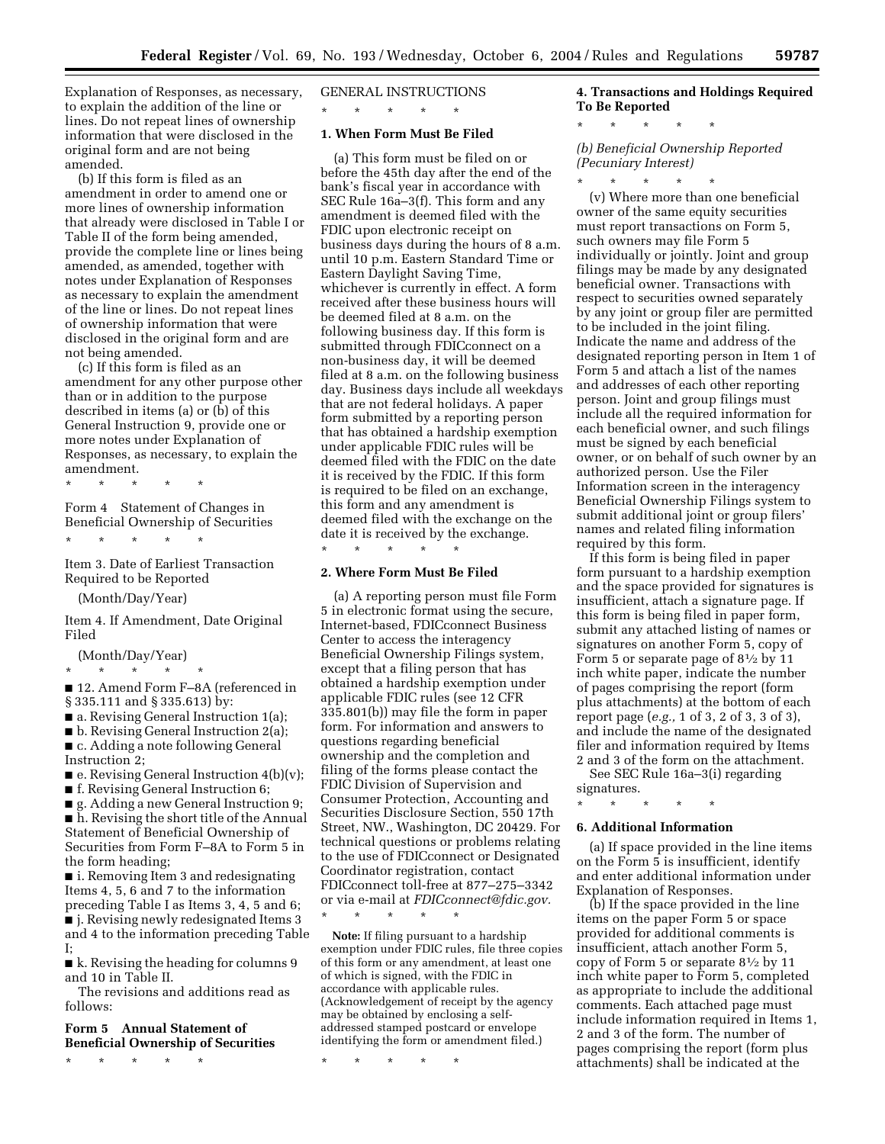Explanation of Responses, as necessary, to explain the addition of the line or lines. Do not repeat lines of ownership information that were disclosed in the original form and are not being amended.

(b) If this form is filed as an amendment in order to amend one or more lines of ownership information that already were disclosed in Table I or Table II of the form being amended, provide the complete line or lines being amended, as amended, together with notes under Explanation of Responses as necessary to explain the amendment of the line or lines. Do not repeat lines of ownership information that were disclosed in the original form and are not being amended.

(c) If this form is filed as an amendment for any other purpose other than or in addition to the purpose described in items (a) or (b) of this General Instruction 9, provide one or more notes under Explanation of Responses, as necessary, to explain the amendment.

\* \* \* \* \*

Form 4 Statement of Changes in Beneficial Ownership of Securities

\* \* \* \* \*

Item 3. Date of Earliest Transaction Required to be Reported

(Month/Day/Year)

Item 4. If Amendment, Date Original Filed

(Month/Day/Year)

\* \* \* \* \* ■ 12. Amend Form F–8A (referenced in § 335.111 and § 335.613) by:

■ a. Revising General Instruction 1(a);

■ b. Revising General Instruction 2(a); ■ c. Adding a note following General Instruction 2;

 $\blacksquare$  e. Revising General Instruction 4(b)(v);

■ f. Revising General Instruction 6;

■ g. Adding a new General Instruction 9; ■ h. Revising the short title of the Annual Statement of Beneficial Ownership of Securities from Form F–8A to Form 5 in the form heading;

■ i. Removing Item 3 and redesignating Items 4, 5, 6 and 7 to the information preceding Table I as Items 3, 4, 5 and 6; ■ j. Revising newly redesignated Items 3 and 4 to the information preceding Table I;

■ k. Revising the heading for columns 9 and 10 in Table II.

The revisions and additions read as follows:

## **Form 5 Annual Statement of Beneficial Ownership of Securities**

\* \* \* \* \*

GENERAL INSTRUCTIONS

\* \* \* \* \*

# **1. When Form Must Be Filed**

(a) This form must be filed on or before the 45th day after the end of the bank's fiscal year in accordance with SEC Rule 16a–3(f). This form and any amendment is deemed filed with the FDIC upon electronic receipt on business days during the hours of 8 a.m. until 10 p.m. Eastern Standard Time or Eastern Daylight Saving Time, whichever is currently in effect. A form received after these business hours will be deemed filed at 8 a.m. on the following business day. If this form is submitted through FDICconnect on a non-business day, it will be deemed filed at 8 a.m. on the following business day. Business days include all weekdays that are not federal holidays. A paper form submitted by a reporting person that has obtained a hardship exemption under applicable FDIC rules will be deemed filed with the FDIC on the date it is received by the FDIC. If this form is required to be filed on an exchange, this form and any amendment is deemed filed with the exchange on the date it is received by the exchange. \* \* \* \* \*

## **2. Where Form Must Be Filed**

(a) A reporting person must file Form 5 in electronic format using the secure, Internet-based, FDICconnect Business Center to access the interagency Beneficial Ownership Filings system, except that a filing person that has obtained a hardship exemption under applicable FDIC rules (see 12 CFR 335.801(b)) may file the form in paper form. For information and answers to questions regarding beneficial ownership and the completion and filing of the forms please contact the FDIC Division of Supervision and Consumer Protection, Accounting and Securities Disclosure Section, 550 17th Street, NW., Washington, DC 20429. For technical questions or problems relating to the use of FDICconnect or Designated Coordinator registration, contact FDICconnect toll-free at 877–275–3342 or via e-mail at *[FDICconnect@fdic.gov.](mailto:FDICconnect@fdic.gov)*

\* \* \* \* \*

**Note:** If filing pursuant to a hardship exemption under FDIC rules, file three copies of this form or any amendment, at least one of which is signed, with the FDIC in accordance with applicable rules. (Acknowledgement of receipt by the agency may be obtained by enclosing a selfaddressed stamped postcard or envelope identifying the form or amendment filed.)

\* \* \* \* \*

# **4. Transactions and Holdings Required To Be Reported**

\* \* \* \* \*

*(b) Beneficial Ownership Reported (Pecuniary Interest)*

\* \* \* \* \* (v) Where more than one beneficial owner of the same equity securities must report transactions on Form 5, such owners may file Form 5 individually or jointly. Joint and group filings may be made by any designated beneficial owner. Transactions with respect to securities owned separately by any joint or group filer are permitted to be included in the joint filing. Indicate the name and address of the designated reporting person in Item 1 of Form 5 and attach a list of the names and addresses of each other reporting person. Joint and group filings must include all the required information for each beneficial owner, and such filings must be signed by each beneficial owner, or on behalf of such owner by an authorized person. Use the Filer Information screen in the interagency Beneficial Ownership Filings system to submit additional joint or group filers' names and related filing information required by this form.

If this form is being filed in paper form pursuant to a hardship exemption and the space provided for signatures is insufficient, attach a signature page. If this form is being filed in paper form, submit any attached listing of names or signatures on another Form 5, copy of Form 5 or separate page of  $8\frac{1}{2}$  by 11 inch white paper, indicate the number of pages comprising the report (form plus attachments) at the bottom of each report page (*e.g.,* 1 of 3, 2 of 3, 3 of 3), and include the name of the designated filer and information required by Items 2 and 3 of the form on the attachment.

See SEC Rule 16a–3(i) regarding signatures.

\* \* \* \* \*

## **6. Additional Information**

(a) If space provided in the line items on the Form 5 is insufficient, identify and enter additional information under Explanation of Responses.

(b) If the space provided in the line items on the paper Form 5 or space provided for additional comments is insufficient, attach another Form 5, copy of Form 5 or separate 81⁄2 by 11 inch white paper to Form 5, completed as appropriate to include the additional comments. Each attached page must include information required in Items 1, 2 and 3 of the form. The number of pages comprising the report (form plus attachments) shall be indicated at the